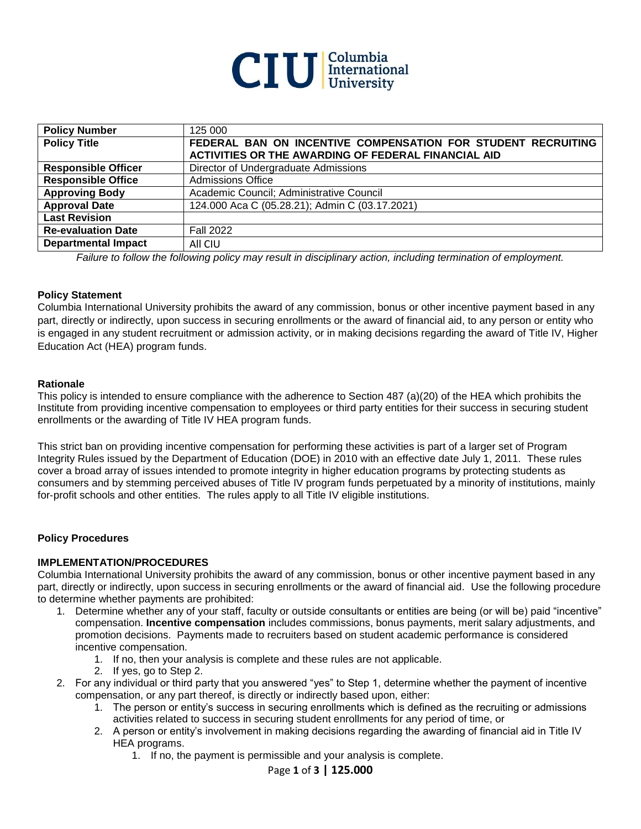

| <b>Policy Number</b>       | 125 000                                                      |
|----------------------------|--------------------------------------------------------------|
| <b>Policy Title</b>        | FEDERAL BAN ON INCENTIVE COMPENSATION FOR STUDENT RECRUITING |
|                            | ACTIVITIES OR THE AWARDING OF FEDERAL FINANCIAL AID          |
| <b>Responsible Officer</b> | Director of Undergraduate Admissions                         |
| <b>Responsible Office</b>  | <b>Admissions Office</b>                                     |
| <b>Approving Body</b>      | Academic Council; Administrative Council                     |
| <b>Approval Date</b>       | 124.000 Aca C (05.28.21); Admin C (03.17.2021)               |
| <b>Last Revision</b>       |                                                              |
| <b>Re-evaluation Date</b>  | <b>Fall 2022</b>                                             |
| <b>Departmental Impact</b> | All CIU                                                      |

*Failure to follow the following policy may result in disciplinary action, including termination of employment.*

#### **Policy Statement**

Columbia International University prohibits the award of any commission, bonus or other incentive payment based in any part, directly or indirectly, upon success in securing enrollments or the award of financial aid, to any person or entity who is engaged in any student recruitment or admission activity, or in making decisions regarding the award of Title IV, Higher Education Act (HEA) program funds.

#### **Rationale**

This policy is intended to ensure compliance with the adherence to Section 487 (a)(20) of the HEA which prohibits the Institute from providing incentive compensation to employees or third party entities for their success in securing student enrollments or the awarding of Title IV HEA program funds.

This strict ban on providing incentive compensation for performing these activities is part of a larger set of Program Integrity Rules issued by the Department of Education (DOE) in 2010 with an effective date July 1, 2011. These rules cover a broad array of issues intended to promote integrity in higher education programs by protecting students as consumers and by stemming perceived abuses of Title IV program funds perpetuated by a minority of institutions, mainly for-profit schools and other entities. The rules apply to all Title IV eligible institutions.

### **Policy Procedures**

### **IMPLEMENTATION/PROCEDURES**

Columbia International University prohibits the award of any commission, bonus or other incentive payment based in any part, directly or indirectly, upon success in securing enrollments or the award of financial aid. Use the following procedure to determine whether payments are prohibited:

- 1. Determine whether any of your staff, faculty or outside consultants or entities are being (or will be) paid "incentive" compensation. **Incentive compensation** includes commissions, bonus payments, merit salary adjustments, and promotion decisions. Payments made to recruiters based on student academic performance is considered incentive compensation.
	- 1. If no, then your analysis is complete and these rules are not applicable.
	- 2. If yes, go to Step 2.
- 2. For any individual or third party that you answered "yes" to Step 1, determine whether the payment of incentive compensation, or any part thereof, is directly or indirectly based upon, either:
	- 1. The person or entity's success in securing enrollments which is defined as the recruiting or admissions activities related to success in securing student enrollments for any period of time, or
	- 2. A person or entity's involvement in making decisions regarding the awarding of financial aid in Title IV HEA programs.
		- 1. If no, the payment is permissible and your analysis is complete.

### Page **1** of **3 | 125.000**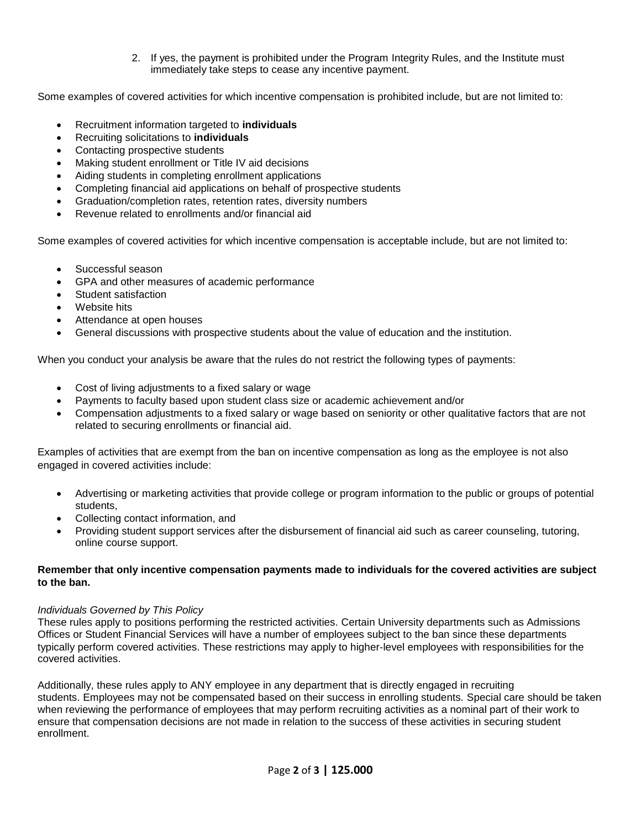2. If yes, the payment is prohibited under the Program Integrity Rules, and the Institute must immediately take steps to cease any incentive payment.

Some examples of covered activities for which incentive compensation is prohibited include, but are not limited to:

- Recruitment information targeted to **individuals**
- Recruiting solicitations to **individuals**
- Contacting prospective students
- Making student enrollment or Title IV aid decisions
- Aiding students in completing enrollment applications
- Completing financial aid applications on behalf of prospective students
- Graduation/completion rates, retention rates, diversity numbers
- Revenue related to enrollments and/or financial aid

Some examples of covered activities for which incentive compensation is acceptable include, but are not limited to:

- Successful season
- GPA and other measures of academic performance
- Student satisfaction
- Website hits
- Attendance at open houses
- General discussions with prospective students about the value of education and the institution.

When you conduct your analysis be aware that the rules do not restrict the following types of payments:

- Cost of living adjustments to a fixed salary or wage
- Payments to faculty based upon student class size or academic achievement and/or
- Compensation adjustments to a fixed salary or wage based on seniority or other qualitative factors that are not related to securing enrollments or financial aid.

Examples of activities that are exempt from the ban on incentive compensation as long as the employee is not also engaged in covered activities include:

- Advertising or marketing activities that provide college or program information to the public or groups of potential students,
- Collecting contact information, and
- Providing student support services after the disbursement of financial aid such as career counseling, tutoring, online course support.

# **Remember that only incentive compensation payments made to individuals for the covered activities are subject to the ban.**

# *Individuals Governed by This Policy*

These rules apply to positions performing the restricted activities. Certain University departments such as Admissions Offices or Student Financial Services will have a number of employees subject to the ban since these departments typically perform covered activities. These restrictions may apply to higher‐level employees with responsibilities for the covered activities.

Additionally, these rules apply to ANY employee in any department that is directly engaged in recruiting students. Employees may not be compensated based on their success in enrolling students. Special care should be taken when reviewing the performance of employees that may perform recruiting activities as a nominal part of their work to ensure that compensation decisions are not made in relation to the success of these activities in securing student enrollment.